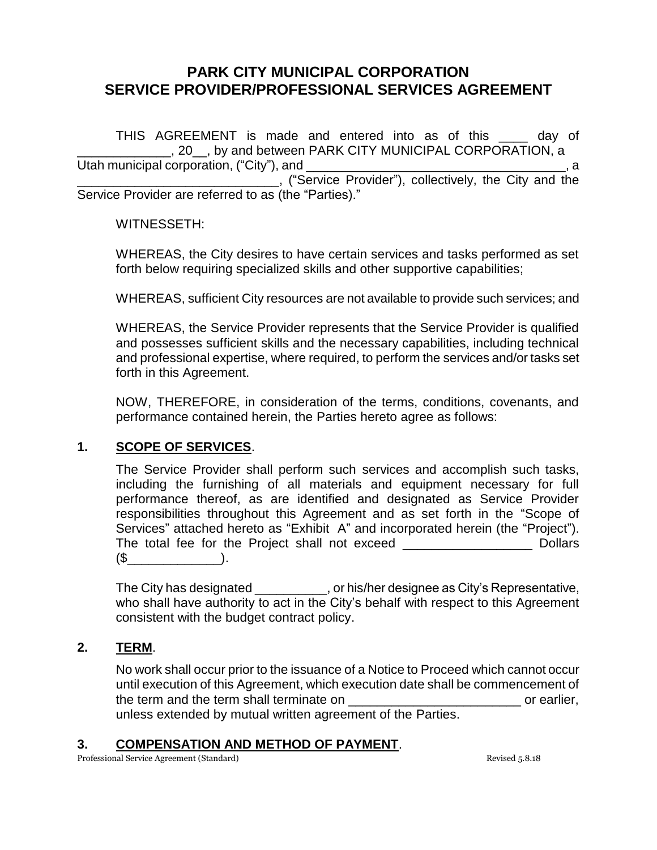THIS AGREEMENT is made and entered into as of this example and the day of \_\_\_\_\_\_\_\_\_\_\_\_\_, 20\_\_, by and between PARK CITY MUNICIPAL CORPORATION, a Utah municipal corporation, ("City"), and **with the example of the example of the example of the example of the e** \_\_\_\_\_\_\_\_\_\_\_\_\_\_\_\_\_\_\_\_\_\_\_\_\_\_\_\_, ("Service Provider"), collectively, the City and the Service Provider are referred to as (the "Parties)."

WITNESSETH:

WHEREAS, the City desires to have certain services and tasks performed as set forth below requiring specialized skills and other supportive capabilities;

WHEREAS, sufficient City resources are not available to provide such services; and

WHEREAS, the Service Provider represents that the Service Provider is qualified and possesses sufficient skills and the necessary capabilities, including technical and professional expertise, where required, to perform the services and/or tasks set forth in this Agreement.

NOW, THEREFORE, in consideration of the terms, conditions, covenants, and performance contained herein, the Parties hereto agree as follows:

## **1. SCOPE OF SERVICES**.

The Service Provider shall perform such services and accomplish such tasks, including the furnishing of all materials and equipment necessary for full performance thereof, as are identified and designated as Service Provider responsibilities throughout this Agreement and as set forth in the "Scope of Services" attached hereto as "Exhibit A" and incorporated herein (the "Project"). The total fee for the Project shall not exceed \_\_\_\_\_\_\_\_\_\_\_\_\_\_\_\_\_\_ Dollars  $(\mathbb{S} \qquad \qquad ).$ 

The City has designated \_\_\_\_\_\_\_\_\_\_, or his/her designee as City's Representative, who shall have authority to act in the City's behalf with respect to this Agreement consistent with the budget contract policy.

### **2. TERM**.

No work shall occur prior to the issuance of a Notice to Proceed which cannot occur until execution of this Agreement, which execution date shall be commencement of the term and the term shall terminate on example of earlier, unless extended by mutual written agreement of the Parties.

### **3. COMPENSATION AND METHOD OF PAYMENT**.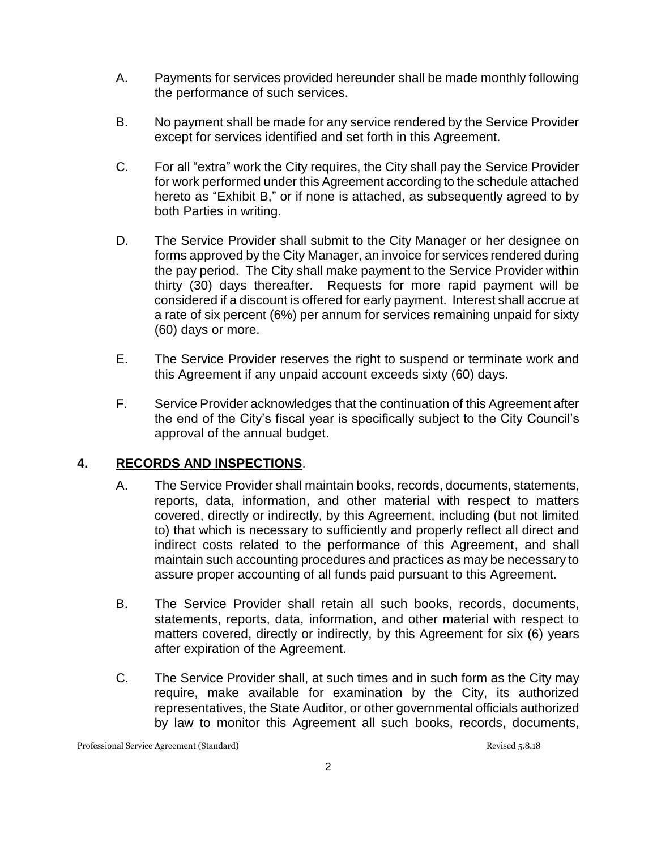- A. Payments for services provided hereunder shall be made monthly following the performance of such services.
- B. No payment shall be made for any service rendered by the Service Provider except for services identified and set forth in this Agreement.
- C. For all "extra" work the City requires, the City shall pay the Service Provider for work performed under this Agreement according to the schedule attached hereto as "Exhibit B," or if none is attached, as subsequently agreed to by both Parties in writing.
- D. The Service Provider shall submit to the City Manager or her designee on forms approved by the City Manager, an invoice for services rendered during the pay period. The City shall make payment to the Service Provider within thirty (30) days thereafter. Requests for more rapid payment will be considered if a discount is offered for early payment. Interest shall accrue at a rate of six percent (6%) per annum for services remaining unpaid for sixty (60) days or more.
- E. The Service Provider reserves the right to suspend or terminate work and this Agreement if any unpaid account exceeds sixty (60) days.
- F. Service Provider acknowledges that the continuation of this Agreement after the end of the City's fiscal year is specifically subject to the City Council's approval of the annual budget.

## **4. RECORDS AND INSPECTIONS**.

- A. The Service Provider shall maintain books, records, documents, statements, reports, data, information, and other material with respect to matters covered, directly or indirectly, by this Agreement, including (but not limited to) that which is necessary to sufficiently and properly reflect all direct and indirect costs related to the performance of this Agreement, and shall maintain such accounting procedures and practices as may be necessary to assure proper accounting of all funds paid pursuant to this Agreement.
- B. The Service Provider shall retain all such books, records, documents, statements, reports, data, information, and other material with respect to matters covered, directly or indirectly, by this Agreement for six (6) years after expiration of the Agreement.
- C. The Service Provider shall, at such times and in such form as the City may require, make available for examination by the City, its authorized representatives, the State Auditor, or other governmental officials authorized by law to monitor this Agreement all such books, records, documents,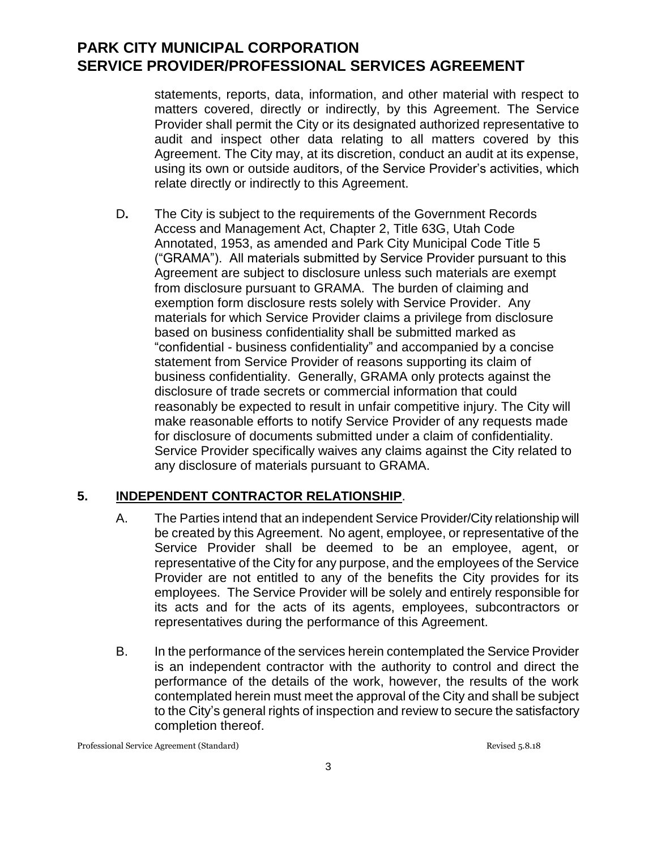statements, reports, data, information, and other material with respect to matters covered, directly or indirectly, by this Agreement. The Service Provider shall permit the City or its designated authorized representative to audit and inspect other data relating to all matters covered by this Agreement. The City may, at its discretion, conduct an audit at its expense, using its own or outside auditors, of the Service Provider's activities, which relate directly or indirectly to this Agreement.

D**.** The City is subject to the requirements of the Government Records Access and Management Act, Chapter 2, Title 63G, Utah Code Annotated, 1953, as amended and Park City Municipal Code Title 5 ("GRAMA"). All materials submitted by Service Provider pursuant to this Agreement are subject to disclosure unless such materials are exempt from disclosure pursuant to GRAMA. The burden of claiming and exemption form disclosure rests solely with Service Provider. Any materials for which Service Provider claims a privilege from disclosure based on business confidentiality shall be submitted marked as "confidential - business confidentiality" and accompanied by a concise statement from Service Provider of reasons supporting its claim of business confidentiality. Generally, GRAMA only protects against the disclosure of trade secrets or commercial information that could reasonably be expected to result in unfair competitive injury. The City will make reasonable efforts to notify Service Provider of any requests made for disclosure of documents submitted under a claim of confidentiality. Service Provider specifically waives any claims against the City related to any disclosure of materials pursuant to GRAMA.

## **5. INDEPENDENT CONTRACTOR RELATIONSHIP**.

- A. The Parties intend that an independent Service Provider/City relationship will be created by this Agreement. No agent, employee, or representative of the Service Provider shall be deemed to be an employee, agent, or representative of the City for any purpose, and the employees of the Service Provider are not entitled to any of the benefits the City provides for its employees. The Service Provider will be solely and entirely responsible for its acts and for the acts of its agents, employees, subcontractors or representatives during the performance of this Agreement.
- B. In the performance of the services herein contemplated the Service Provider is an independent contractor with the authority to control and direct the performance of the details of the work, however, the results of the work contemplated herein must meet the approval of the City and shall be subject to the City's general rights of inspection and review to secure the satisfactory completion thereof.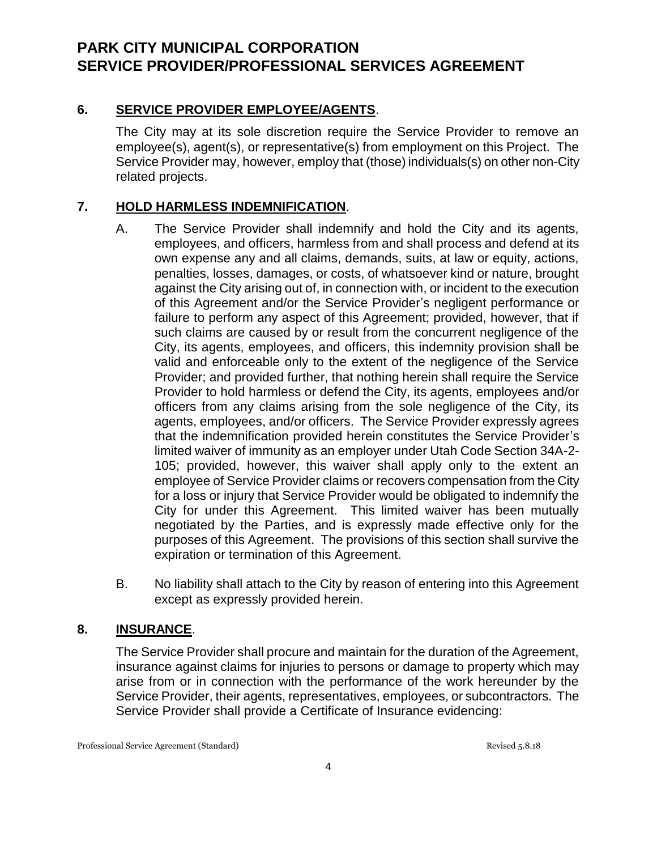## **6. SERVICE PROVIDER EMPLOYEE/AGENTS**.

The City may at its sole discretion require the Service Provider to remove an employee(s), agent(s), or representative(s) from employment on this Project. The Service Provider may, however, employ that (those) individuals(s) on other non-City related projects.

## **7. HOLD HARMLESS INDEMNIFICATION**.

- A. The Service Provider shall indemnify and hold the City and its agents, employees, and officers, harmless from and shall process and defend at its own expense any and all claims, demands, suits, at law or equity, actions, penalties, losses, damages, or costs, of whatsoever kind or nature, brought against the City arising out of, in connection with, or incident to the execution of this Agreement and/or the Service Provider's negligent performance or failure to perform any aspect of this Agreement; provided, however, that if such claims are caused by or result from the concurrent negligence of the City, its agents, employees, and officers, this indemnity provision shall be valid and enforceable only to the extent of the negligence of the Service Provider; and provided further, that nothing herein shall require the Service Provider to hold harmless or defend the City, its agents, employees and/or officers from any claims arising from the sole negligence of the City, its agents, employees, and/or officers. The Service Provider expressly agrees that the indemnification provided herein constitutes the Service Provider's limited waiver of immunity as an employer under Utah Code Section 34A-2- 105; provided, however, this waiver shall apply only to the extent an employee of Service Provider claims or recovers compensation from the City for a loss or injury that Service Provider would be obligated to indemnify the City for under this Agreement. This limited waiver has been mutually negotiated by the Parties, and is expressly made effective only for the purposes of this Agreement. The provisions of this section shall survive the expiration or termination of this Agreement.
- B. No liability shall attach to the City by reason of entering into this Agreement except as expressly provided herein.

### **8. INSURANCE**.

The Service Provider shall procure and maintain for the duration of the Agreement, insurance against claims for injuries to persons or damage to property which may arise from or in connection with the performance of the work hereunder by the Service Provider, their agents, representatives, employees, or subcontractors. The Service Provider shall provide a Certificate of Insurance evidencing: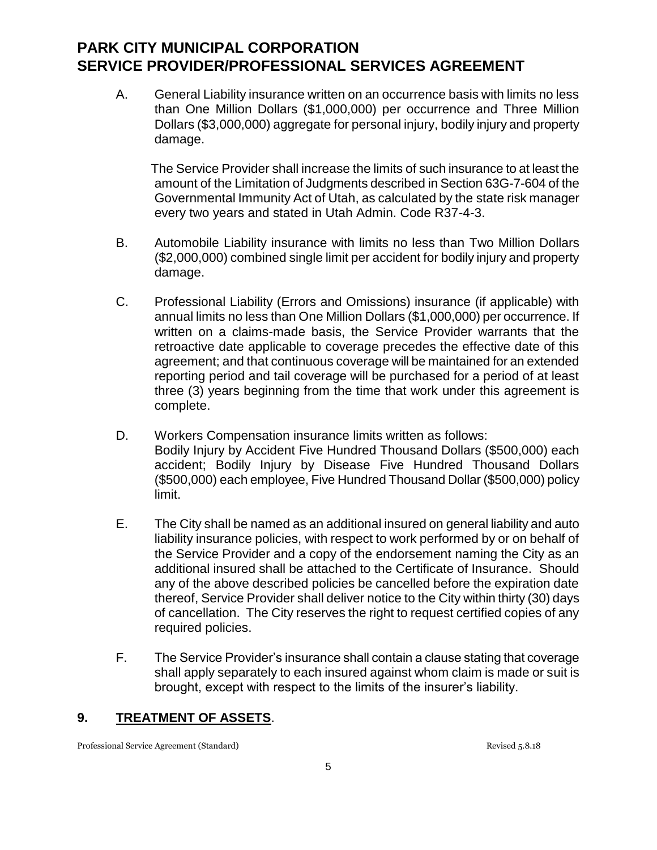A. General Liability insurance written on an occurrence basis with limits no less than One Million Dollars (\$1,000,000) per occurrence and Three Million Dollars (\$3,000,000) aggregate for personal injury, bodily injury and property damage.

 The Service Provider shall increase the limits of such insurance to at least the amount of the Limitation of Judgments described in Section 63G-7-604 of the Governmental Immunity Act of Utah, as calculated by the state risk manager every two years and stated in Utah Admin. Code R37-4-3.

- B. Automobile Liability insurance with limits no less than Two Million Dollars (\$2,000,000) combined single limit per accident for bodily injury and property damage.
- C. Professional Liability (Errors and Omissions) insurance (if applicable) with annual limits no less than One Million Dollars (\$1,000,000) per occurrence. If written on a claims-made basis, the Service Provider warrants that the retroactive date applicable to coverage precedes the effective date of this agreement; and that continuous coverage will be maintained for an extended reporting period and tail coverage will be purchased for a period of at least three (3) years beginning from the time that work under this agreement is complete.
- D. Workers Compensation insurance limits written as follows: Bodily Injury by Accident Five Hundred Thousand Dollars (\$500,000) each accident; Bodily Injury by Disease Five Hundred Thousand Dollars (\$500,000) each employee, Five Hundred Thousand Dollar (\$500,000) policy limit.
- E. The City shall be named as an additional insured on general liability and auto liability insurance policies, with respect to work performed by or on behalf of the Service Provider and a copy of the endorsement naming the City as an additional insured shall be attached to the Certificate of Insurance. Should any of the above described policies be cancelled before the expiration date thereof, Service Provider shall deliver notice to the City within thirty (30) days of cancellation. The City reserves the right to request certified copies of any required policies.
- F. The Service Provider's insurance shall contain a clause stating that coverage shall apply separately to each insured against whom claim is made or suit is brought, except with respect to the limits of the insurer's liability.

### **9. TREATMENT OF ASSETS**.

Professional Service Agreement (Standard) and Revised 5.8.18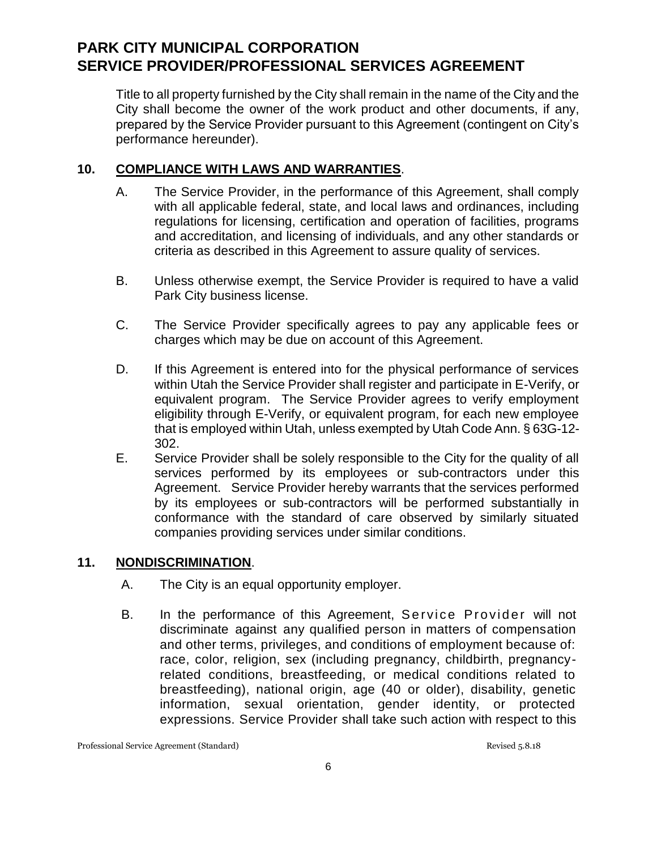Title to all property furnished by the City shall remain in the name of the City and the City shall become the owner of the work product and other documents, if any, prepared by the Service Provider pursuant to this Agreement (contingent on City's performance hereunder).

### **10. COMPLIANCE WITH LAWS AND WARRANTIES**.

- A. The Service Provider, in the performance of this Agreement, shall comply with all applicable federal, state, and local laws and ordinances, including regulations for licensing, certification and operation of facilities, programs and accreditation, and licensing of individuals, and any other standards or criteria as described in this Agreement to assure quality of services.
- B. Unless otherwise exempt, the Service Provider is required to have a valid Park City business license.
- C. The Service Provider specifically agrees to pay any applicable fees or charges which may be due on account of this Agreement.
- D. If this Agreement is entered into for the physical performance of services within Utah the Service Provider shall register and participate in E-Verify, or equivalent program. The Service Provider agrees to verify employment eligibility through E-Verify, or equivalent program, for each new employee that is employed within Utah, unless exempted by Utah Code Ann. § 63G-12- 302.
- E. Service Provider shall be solely responsible to the City for the quality of all services performed by its employees or sub-contractors under this Agreement. Service Provider hereby warrants that the services performed by its employees or sub-contractors will be performed substantially in conformance with the standard of care observed by similarly situated companies providing services under similar conditions.

## **11. NONDISCRIMINATION**.

- A. The City is an equal opportunity employer.
- B. In the performance of this Agreement, Service Provider will not discriminate against any qualified person in matters of compensation and other terms, privileges, and conditions of employment because of: race, color, religion, sex (including pregnancy, childbirth, pregnancyrelated conditions, breastfeeding, or medical conditions related to breastfeeding), national origin, age (40 or older), disability, genetic information, sexual orientation, gender identity, or protected expressions. Service Provider shall take such action with respect to this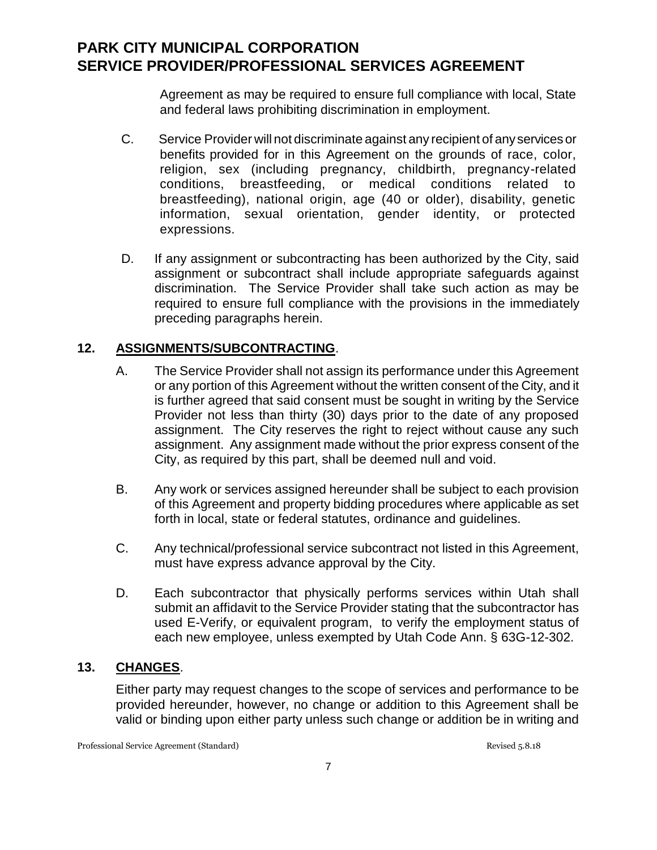Agreement as may be required to ensure full compliance with local, State and federal laws prohibiting discrimination in employment.

- C. Service Provider will not discriminate against any recipient of any services or benefits provided for in this Agreement on the grounds of race, color, religion, sex (including pregnancy, childbirth, pregnancy-related conditions, breastfeeding, or medical conditions related to breastfeeding), national origin, age (40 or older), disability, genetic information, sexual orientation, gender identity, or protected expressions.
- D. If any assignment or subcontracting has been authorized by the City, said assignment or subcontract shall include appropriate safeguards against discrimination. The Service Provider shall take such action as may be required to ensure full compliance with the provisions in the immediately preceding paragraphs herein.

## **12. ASSIGNMENTS/SUBCONTRACTING**.

- A. The Service Provider shall not assign its performance under this Agreement or any portion of this Agreement without the written consent of the City, and it is further agreed that said consent must be sought in writing by the Service Provider not less than thirty (30) days prior to the date of any proposed assignment. The City reserves the right to reject without cause any such assignment. Any assignment made without the prior express consent of the City, as required by this part, shall be deemed null and void.
- B. Any work or services assigned hereunder shall be subject to each provision of this Agreement and property bidding procedures where applicable as set forth in local, state or federal statutes, ordinance and guidelines.
- C. Any technical/professional service subcontract not listed in this Agreement, must have express advance approval by the City.
- D. Each subcontractor that physically performs services within Utah shall submit an affidavit to the Service Provider stating that the subcontractor has used E-Verify, or equivalent program, to verify the employment status of each new employee, unless exempted by Utah Code Ann. § 63G-12-302.

## **13. CHANGES**.

Either party may request changes to the scope of services and performance to be provided hereunder, however, no change or addition to this Agreement shall be valid or binding upon either party unless such change or addition be in writing and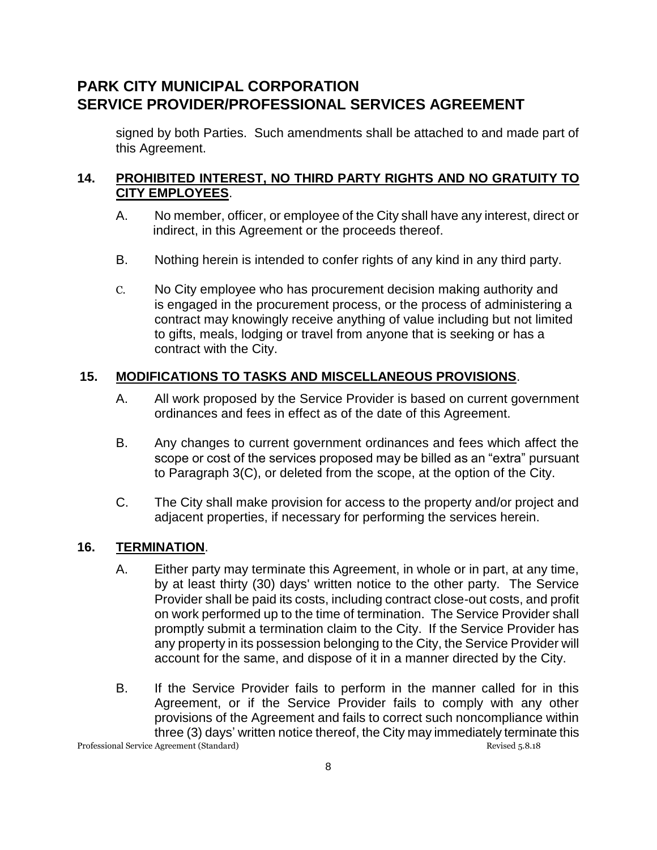signed by both Parties. Such amendments shall be attached to and made part of this Agreement.

### **14. PROHIBITED INTEREST, NO THIRD PARTY RIGHTS AND NO GRATUITY TO CITY EMPLOYEES**.

- A. No member, officer, or employee of the City shall have any interest, direct or indirect, in this Agreement or the proceeds thereof.
- B. Nothing herein is intended to confer rights of any kind in any third party.
- C. No City employee who has procurement decision making authority and is engaged in the procurement process, or the process of administering a contract may knowingly receive anything of value including but not limited to gifts, meals, lodging or travel from anyone that is seeking or has a contract with the City.

## **15. MODIFICATIONS TO TASKS AND MISCELLANEOUS PROVISIONS**.

- A. All work proposed by the Service Provider is based on current government ordinances and fees in effect as of the date of this Agreement.
- B. Any changes to current government ordinances and fees which affect the scope or cost of the services proposed may be billed as an "extra" pursuant to Paragraph 3(C), or deleted from the scope, at the option of the City.
- C. The City shall make provision for access to the property and/or project and adjacent properties, if necessary for performing the services herein.

### **16. TERMINATION**.

- A. Either party may terminate this Agreement, in whole or in part, at any time, by at least thirty (30) days' written notice to the other party. The Service Provider shall be paid its costs, including contract close-out costs, and profit on work performed up to the time of termination. The Service Provider shall promptly submit a termination claim to the City. If the Service Provider has any property in its possession belonging to the City, the Service Provider will account for the same, and dispose of it in a manner directed by the City.
- Professional Service Agreement (Standard) 8.8.18 B. If the Service Provider fails to perform in the manner called for in this Agreement, or if the Service Provider fails to comply with any other provisions of the Agreement and fails to correct such noncompliance within three (3) days' written notice thereof, the City may immediately terminate this

8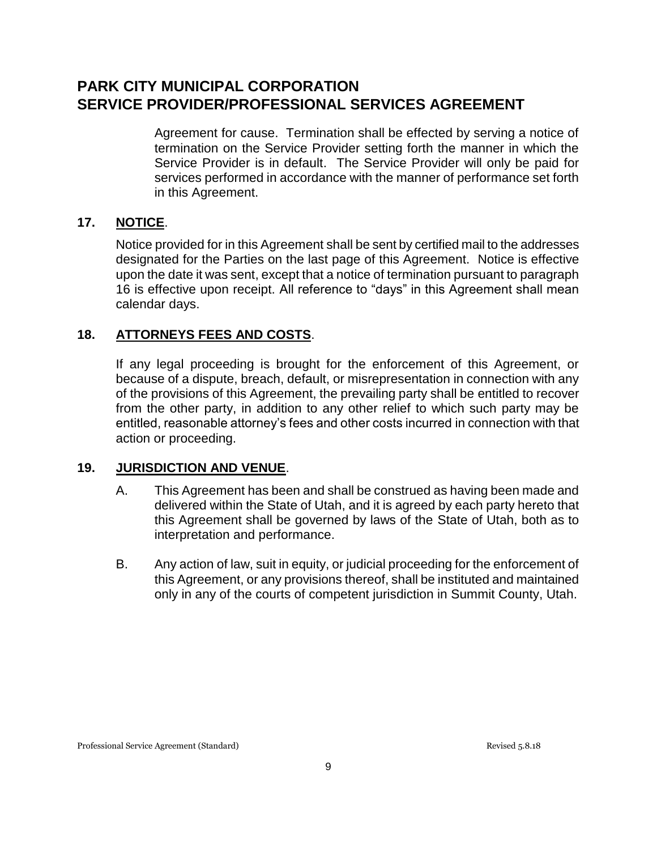Agreement for cause. Termination shall be effected by serving a notice of termination on the Service Provider setting forth the manner in which the Service Provider is in default. The Service Provider will only be paid for services performed in accordance with the manner of performance set forth in this Agreement.

### **17. NOTICE**.

Notice provided for in this Agreement shall be sent by certified mail to the addresses designated for the Parties on the last page of this Agreement. Notice is effective upon the date it was sent, except that a notice of termination pursuant to paragraph 16 is effective upon receipt. All reference to "days" in this Agreement shall mean calendar days.

### **18. ATTORNEYS FEES AND COSTS**.

If any legal proceeding is brought for the enforcement of this Agreement, or because of a dispute, breach, default, or misrepresentation in connection with any of the provisions of this Agreement, the prevailing party shall be entitled to recover from the other party, in addition to any other relief to which such party may be entitled, reasonable attorney's fees and other costs incurred in connection with that action or proceeding.

#### **19. JURISDICTION AND VENUE**.

- A. This Agreement has been and shall be construed as having been made and delivered within the State of Utah, and it is agreed by each party hereto that this Agreement shall be governed by laws of the State of Utah, both as to interpretation and performance.
- B. Any action of law, suit in equity, or judicial proceeding for the enforcement of this Agreement, or any provisions thereof, shall be instituted and maintained only in any of the courts of competent jurisdiction in Summit County, Utah.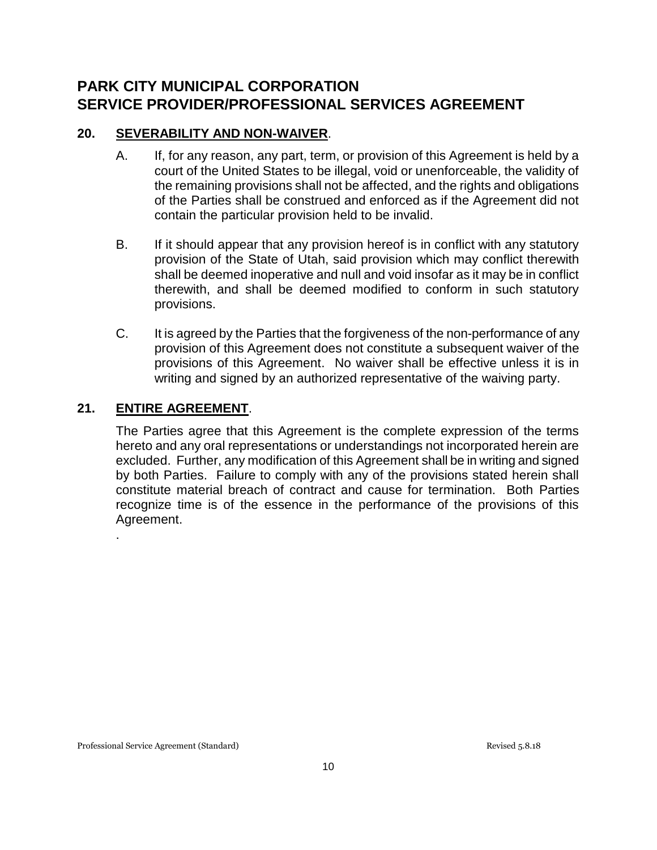### **20. SEVERABILITY AND NON-WAIVER**.

- A. If, for any reason, any part, term, or provision of this Agreement is held by a court of the United States to be illegal, void or unenforceable, the validity of the remaining provisions shall not be affected, and the rights and obligations of the Parties shall be construed and enforced as if the Agreement did not contain the particular provision held to be invalid.
- B. If it should appear that any provision hereof is in conflict with any statutory provision of the State of Utah, said provision which may conflict therewith shall be deemed inoperative and null and void insofar as it may be in conflict therewith, and shall be deemed modified to conform in such statutory provisions.
- C. It is agreed by the Parties that the forgiveness of the non-performance of any provision of this Agreement does not constitute a subsequent waiver of the provisions of this Agreement. No waiver shall be effective unless it is in writing and signed by an authorized representative of the waiving party.

### **21. ENTIRE AGREEMENT**.

.

The Parties agree that this Agreement is the complete expression of the terms hereto and any oral representations or understandings not incorporated herein are excluded. Further, any modification of this Agreement shall be in writing and signed by both Parties. Failure to comply with any of the provisions stated herein shall constitute material breach of contract and cause for termination. Both Parties recognize time is of the essence in the performance of the provisions of this Agreement.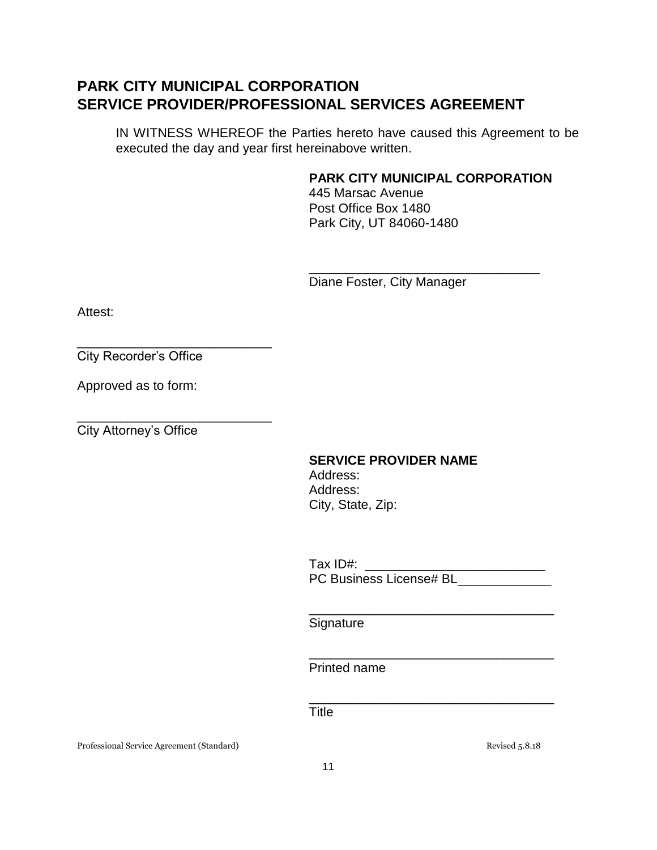IN WITNESS WHEREOF the Parties hereto have caused this Agreement to be executed the day and year first hereinabove written.

### **PARK CITY MUNICIPAL CORPORATION**

\_\_\_\_\_\_\_\_\_\_\_\_\_\_\_\_\_\_\_\_\_\_\_\_\_\_\_\_\_\_\_\_

445 Marsac Avenue Post Office Box 1480 Park City, UT 84060-1480

Diane Foster, City Manager

Attest:

City Recorder's Office

\_\_\_\_\_\_\_\_\_\_\_\_\_\_\_\_\_\_\_\_\_\_\_\_\_\_\_

\_\_\_\_\_\_\_\_\_\_\_\_\_\_\_\_\_\_\_\_\_\_\_\_\_\_\_

Approved as to form:

City Attorney's Office

## **SERVICE PROVIDER NAME**

 Address: Address: City, State, Zip:

Tax ID#:  $\overline{\phantom{a}}$ PC Business License# BL

\_\_\_\_\_\_\_\_\_\_\_\_\_\_\_\_\_\_\_\_\_\_\_\_\_\_\_\_\_\_\_\_\_\_

\_\_\_\_\_\_\_\_\_\_\_\_\_\_\_\_\_\_\_\_\_\_\_\_\_\_\_\_\_\_\_\_\_\_

\_\_\_\_\_\_\_\_\_\_\_\_\_\_\_\_\_\_\_\_\_\_\_\_\_\_\_\_\_\_\_\_\_\_

**Signature** 

Printed name

**Title** 

Professional Service Agreement (Standard) **Revised 5.8.18** Revised 5.8.18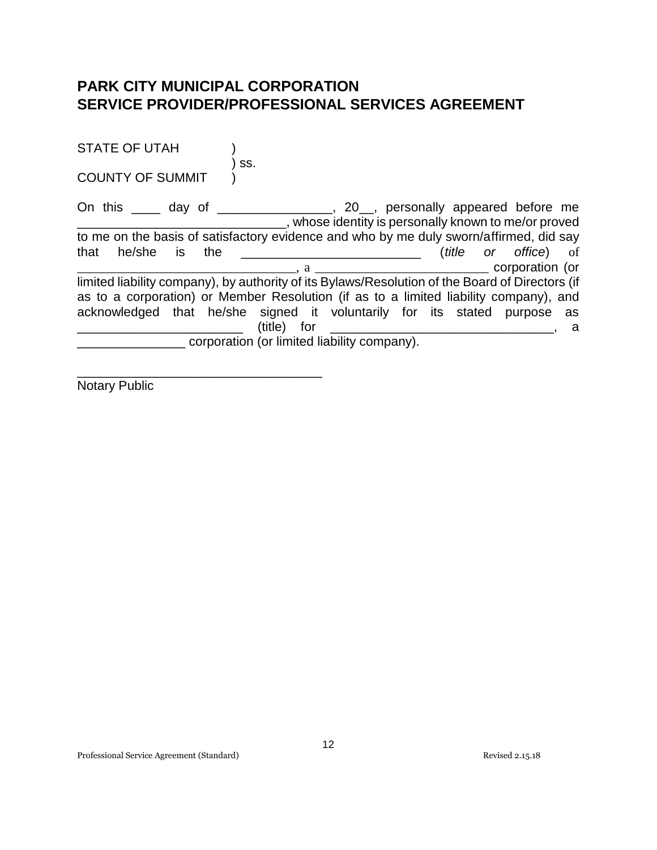| <b>STATE OF UTAH</b>                                                                            |                                             |             |                                                      |  |                              |     |
|-------------------------------------------------------------------------------------------------|---------------------------------------------|-------------|------------------------------------------------------|--|------------------------------|-----|
| <b>COUNTY OF SUMMIT</b>                                                                         | SS.                                         |             |                                                      |  |                              |     |
| On this _____ day of __________________, 20__, personally appeared before me                    |                                             |             | , whose identity is personally known to me/or proved |  |                              |     |
| to me on the basis of satisfactory evidence and who by me duly sworn/affirmed, did say          |                                             |             |                                                      |  |                              |     |
| that he/she is                                                                                  |                                             |             |                                                      |  | ( <i>title</i> or office) of |     |
|                                                                                                 |                                             |             |                                                      |  |                              |     |
| limited liability company), by authority of its Bylaws/Resolution of the Board of Directors (if |                                             |             |                                                      |  |                              |     |
| as to a corporation) or Member Resolution (if as to a limited liability company), and           |                                             |             |                                                      |  |                              |     |
| acknowledged that he/she signed it voluntarily for its stated purpose as                        |                                             |             |                                                      |  |                              |     |
|                                                                                                 |                                             | (title) for |                                                      |  |                              | - a |
|                                                                                                 | corporation (or limited liability company). |             |                                                      |  |                              |     |
|                                                                                                 |                                             |             |                                                      |  |                              |     |

Notary Public

\_\_\_\_\_\_\_\_\_\_\_\_\_\_\_\_\_\_\_\_\_\_\_\_\_\_\_\_\_\_\_\_\_\_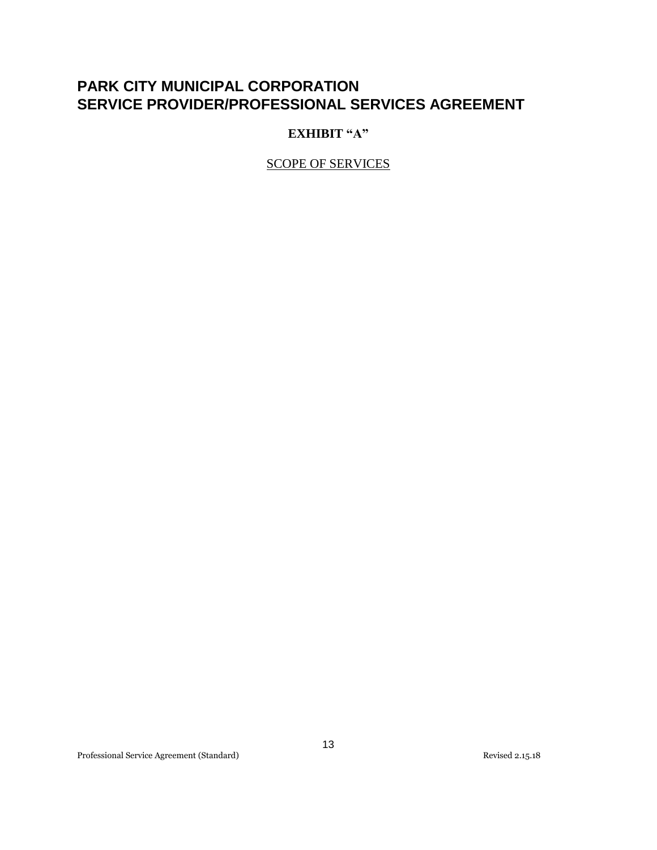### **EXHIBIT "A"**

SCOPE OF SERVICES

Professional Service Agreement (Standard) Revised 2.15.18